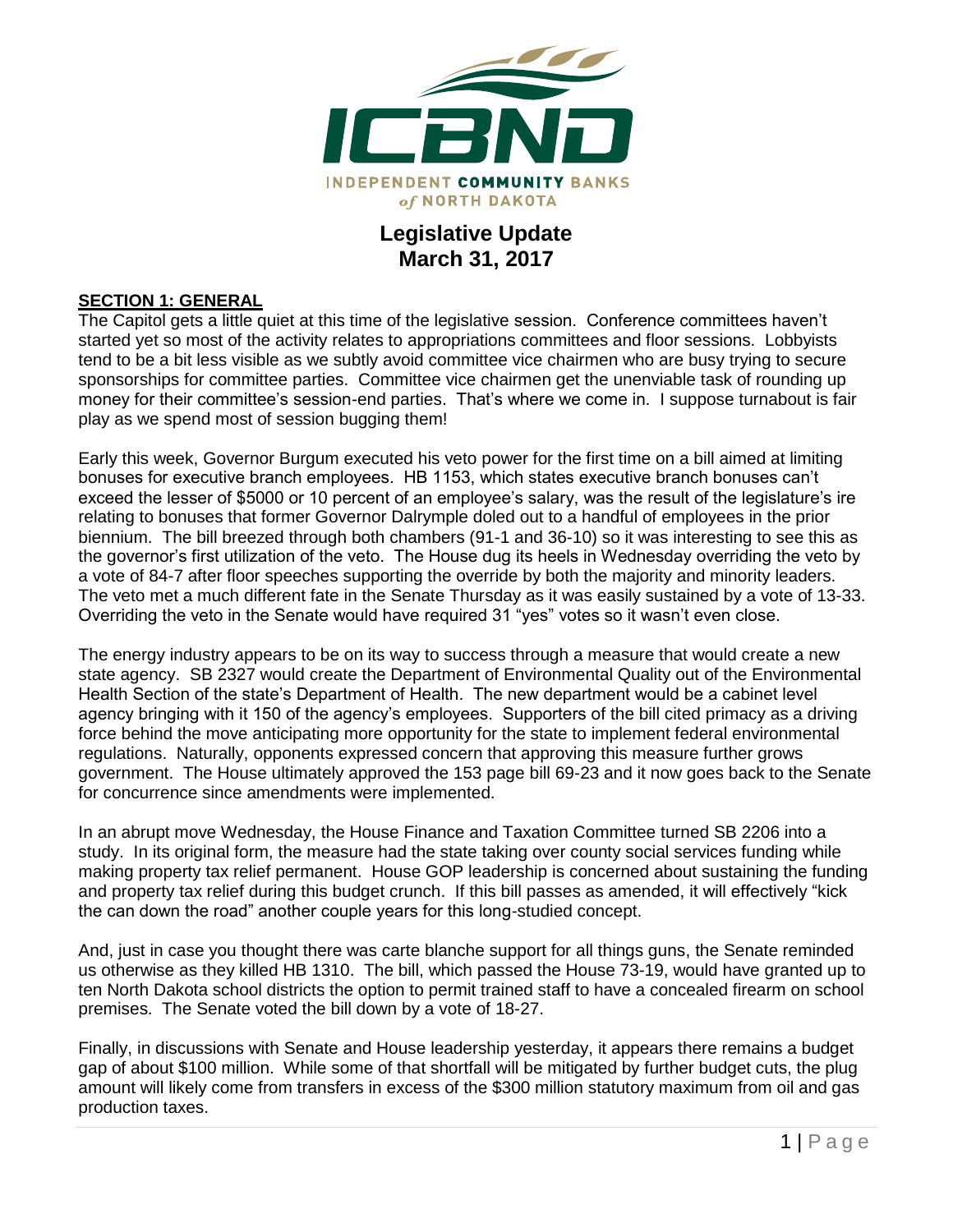

## **Legislative Update March 31, 2017**

#### **SECTION 1: GENERAL**

The Capitol gets a little quiet at this time of the legislative session. Conference committees haven't started yet so most of the activity relates to appropriations committees and floor sessions. Lobbyists tend to be a bit less visible as we subtly avoid committee vice chairmen who are busy trying to secure sponsorships for committee parties. Committee vice chairmen get the unenviable task of rounding up money for their committee's session-end parties. That's where we come in. I suppose turnabout is fair play as we spend most of session bugging them!

Early this week, Governor Burgum executed his veto power for the first time on a bill aimed at limiting bonuses for executive branch employees. HB 1153, which states executive branch bonuses can't exceed the lesser of \$5000 or 10 percent of an employee's salary, was the result of the legislature's ire relating to bonuses that former Governor Dalrymple doled out to a handful of employees in the prior biennium. The bill breezed through both chambers (91-1 and 36-10) so it was interesting to see this as the governor's first utilization of the veto. The House dug its heels in Wednesday overriding the veto by a vote of 84-7 after floor speeches supporting the override by both the majority and minority leaders. The veto met a much different fate in the Senate Thursday as it was easily sustained by a vote of 13-33. Overriding the veto in the Senate would have required 31 "yes" votes so it wasn't even close.

The energy industry appears to be on its way to success through a measure that would create a new state agency. SB 2327 would create the Department of Environmental Quality out of the Environmental Health Section of the state's Department of Health. The new department would be a cabinet level agency bringing with it 150 of the agency's employees. Supporters of the bill cited primacy as a driving force behind the move anticipating more opportunity for the state to implement federal environmental regulations. Naturally, opponents expressed concern that approving this measure further grows government. The House ultimately approved the 153 page bill 69-23 and it now goes back to the Senate for concurrence since amendments were implemented.

In an abrupt move Wednesday, the House Finance and Taxation Committee turned SB 2206 into a study. In its original form, the measure had the state taking over county social services funding while making property tax relief permanent. House GOP leadership is concerned about sustaining the funding and property tax relief during this budget crunch. If this bill passes as amended, it will effectively "kick the can down the road" another couple years for this long-studied concept.

And, just in case you thought there was carte blanche support for all things guns, the Senate reminded us otherwise as they killed HB 1310. The bill, which passed the House 73-19, would have granted up to ten North Dakota school districts the option to permit trained staff to have a concealed firearm on school premises. The Senate voted the bill down by a vote of 18-27.

Finally, in discussions with Senate and House leadership yesterday, it appears there remains a budget gap of about \$100 million. While some of that shortfall will be mitigated by further budget cuts, the plug amount will likely come from transfers in excess of the \$300 million statutory maximum from oil and gas production taxes.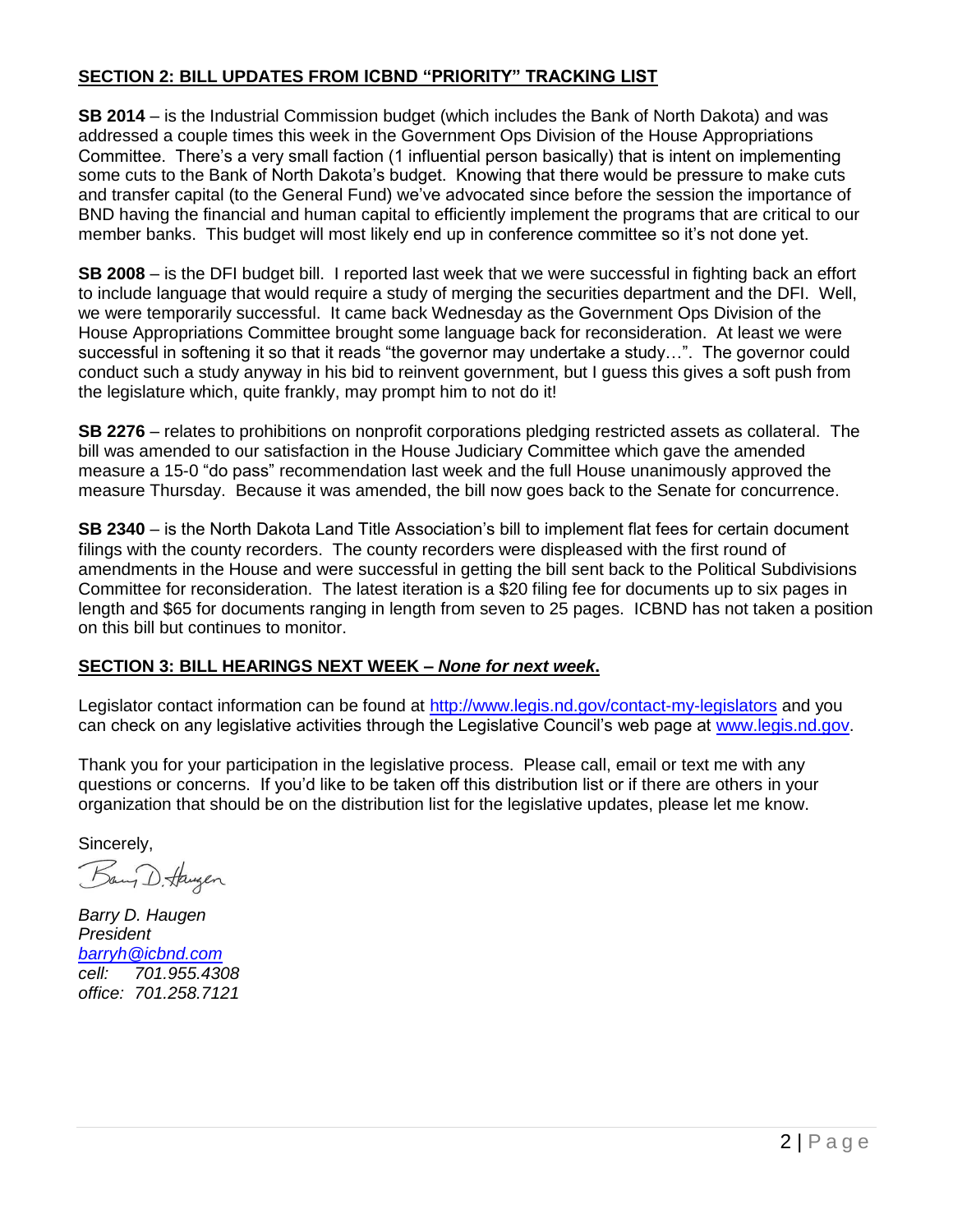#### **SECTION 2: BILL UPDATES FROM ICBND "PRIORITY" TRACKING LIST**

**SB 2014** – is the Industrial Commission budget (which includes the Bank of North Dakota) and was addressed a couple times this week in the Government Ops Division of the House Appropriations Committee. There's a very small faction (1 influential person basically) that is intent on implementing some cuts to the Bank of North Dakota's budget. Knowing that there would be pressure to make cuts and transfer capital (to the General Fund) we've advocated since before the session the importance of BND having the financial and human capital to efficiently implement the programs that are critical to our member banks. This budget will most likely end up in conference committee so it's not done yet.

**SB 2008** – is the DFI budget bill. I reported last week that we were successful in fighting back an effort to include language that would require a study of merging the securities department and the DFI. Well, we were temporarily successful. It came back Wednesday as the Government Ops Division of the House Appropriations Committee brought some language back for reconsideration. At least we were successful in softening it so that it reads "the governor may undertake a study…". The governor could conduct such a study anyway in his bid to reinvent government, but I guess this gives a soft push from the legislature which, quite frankly, may prompt him to not do it!

**SB 2276** – relates to prohibitions on nonprofit corporations pledging restricted assets as collateral. The bill was amended to our satisfaction in the House Judiciary Committee which gave the amended measure a 15-0 "do pass" recommendation last week and the full House unanimously approved the measure Thursday. Because it was amended, the bill now goes back to the Senate for concurrence.

**SB 2340** – is the North Dakota Land Title Association's bill to implement flat fees for certain document filings with the county recorders. The county recorders were displeased with the first round of amendments in the House and were successful in getting the bill sent back to the Political Subdivisions Committee for reconsideration. The latest iteration is a \$20 filing fee for documents up to six pages in length and \$65 for documents ranging in length from seven to 25 pages. ICBND has not taken a position on this bill but continues to monitor.

### **SECTION 3: BILL HEARINGS NEXT WEEK –** *None for next week***.**

Legislator contact information can be found at<http://www.legis.nd.gov/contact-my-legislators> and you can check on any legislative activities through the Legislative Council's web page at [www.legis.nd.gov.](http://www.legis.nd.gov/)

Thank you for your participation in the legislative process. Please call, email or text me with any questions or concerns. If you'd like to be taken off this distribution list or if there are others in your organization that should be on the distribution list for the legislative updates, please let me know.

Sincerely,

Bang D. Haugen

*Barry D. Haugen President [barryh@icbnd.com](mailto:barryh@icbnd.com) cell: 701.955.4308 office: 701.258.7121*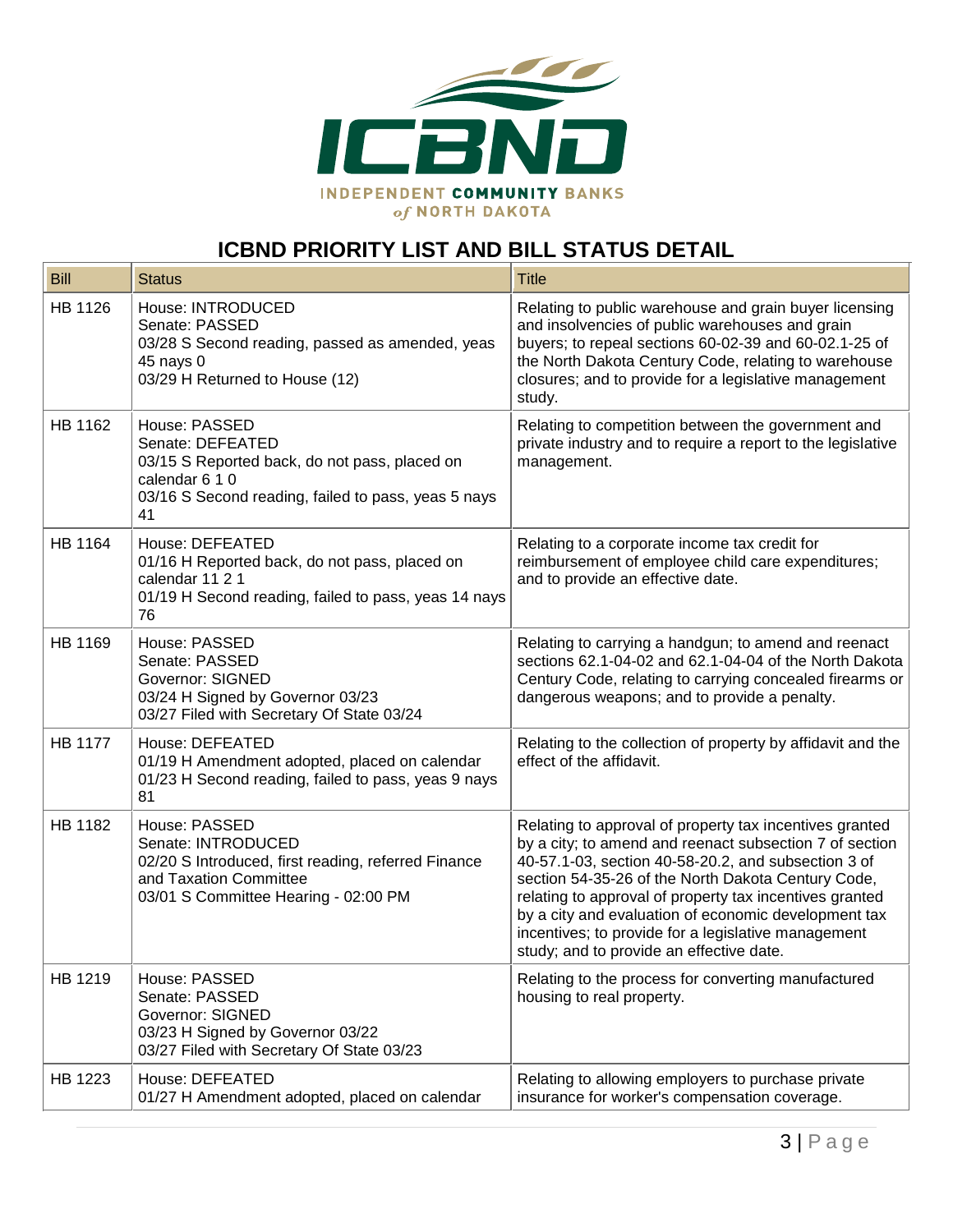

# **ICBND PRIORITY LIST AND BILL STATUS DETAIL**

| <b>Bill</b>    | <b>Status</b>                                                                                                                                                     | <b>Title</b>                                                                                                                                                                                                                                                                                                                                                                                                                                          |
|----------------|-------------------------------------------------------------------------------------------------------------------------------------------------------------------|-------------------------------------------------------------------------------------------------------------------------------------------------------------------------------------------------------------------------------------------------------------------------------------------------------------------------------------------------------------------------------------------------------------------------------------------------------|
| HB 1126        | House: INTRODUCED<br>Senate: PASSED<br>03/28 S Second reading, passed as amended, yeas<br>45 nays 0<br>03/29 H Returned to House (12)                             | Relating to public warehouse and grain buyer licensing<br>and insolvencies of public warehouses and grain<br>buyers; to repeal sections 60-02-39 and 60-02.1-25 of<br>the North Dakota Century Code, relating to warehouse<br>closures; and to provide for a legislative management<br>study.                                                                                                                                                         |
| HB 1162        | House: PASSED<br>Senate: DEFEATED<br>03/15 S Reported back, do not pass, placed on<br>calendar 6 1 0<br>03/16 S Second reading, failed to pass, yeas 5 nays<br>41 | Relating to competition between the government and<br>private industry and to require a report to the legislative<br>management.                                                                                                                                                                                                                                                                                                                      |
| <b>HB 1164</b> | House: DEFEATED<br>01/16 H Reported back, do not pass, placed on<br>calendar 11 2 1<br>01/19 H Second reading, failed to pass, yeas 14 nays<br>76                 | Relating to a corporate income tax credit for<br>reimbursement of employee child care expenditures;<br>and to provide an effective date.                                                                                                                                                                                                                                                                                                              |
| HB 1169        | House: PASSED<br>Senate: PASSED<br><b>Governor: SIGNED</b><br>03/24 H Signed by Governor 03/23<br>03/27 Filed with Secretary Of State 03/24                       | Relating to carrying a handgun; to amend and reenact<br>sections 62.1-04-02 and 62.1-04-04 of the North Dakota<br>Century Code, relating to carrying concealed firearms or<br>dangerous weapons; and to provide a penalty.                                                                                                                                                                                                                            |
| <b>HB 1177</b> | House: DEFEATED<br>01/19 H Amendment adopted, placed on calendar<br>01/23 H Second reading, failed to pass, yeas 9 nays<br>81                                     | Relating to the collection of property by affidavit and the<br>effect of the affidavit.                                                                                                                                                                                                                                                                                                                                                               |
| HB 1182        | House: PASSED<br>Senate: INTRODUCED<br>02/20 S Introduced, first reading, referred Finance<br>and Taxation Committee<br>03/01 S Committee Hearing - 02:00 PM      | Relating to approval of property tax incentives granted<br>by a city; to amend and reenact subsection 7 of section<br>40-57.1-03, section 40-58-20.2, and subsection 3 of<br>section 54-35-26 of the North Dakota Century Code,<br>relating to approval of property tax incentives granted<br>by a city and evaluation of economic development tax<br>incentives; to provide for a legislative management<br>study; and to provide an effective date. |
| HB 1219        | House: PASSED<br>Senate: PASSED<br><b>Governor: SIGNED</b><br>03/23 H Signed by Governor 03/22<br>03/27 Filed with Secretary Of State 03/23                       | Relating to the process for converting manufactured<br>housing to real property.                                                                                                                                                                                                                                                                                                                                                                      |
| HB 1223        | House: DEFEATED<br>01/27 H Amendment adopted, placed on calendar                                                                                                  | Relating to allowing employers to purchase private<br>insurance for worker's compensation coverage.                                                                                                                                                                                                                                                                                                                                                   |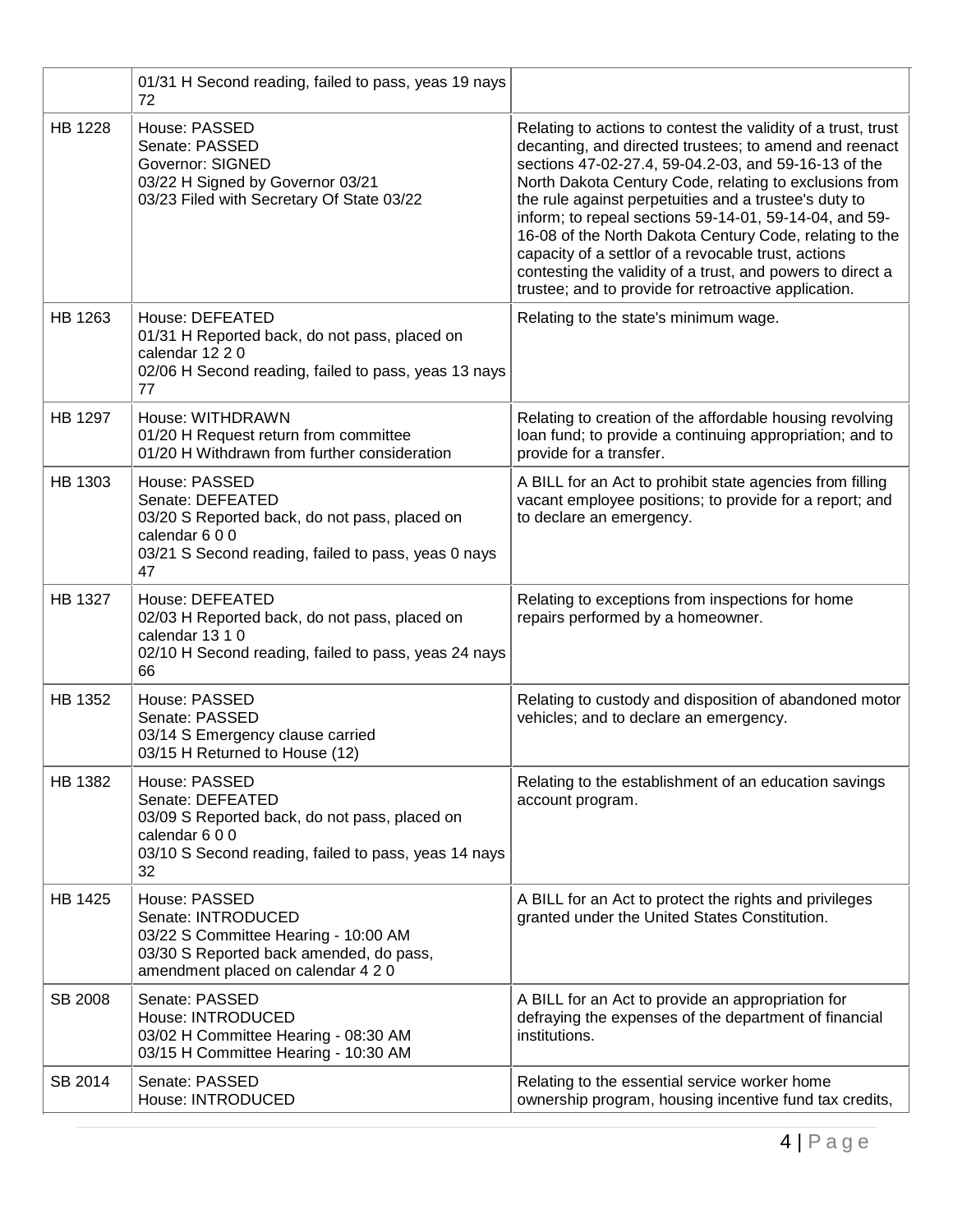|                | 01/31 H Second reading, failed to pass, yeas 19 nays<br>72                                                                                                       |                                                                                                                                                                                                                                                                                                                                                                                                                                                                                                                                                                                                      |
|----------------|------------------------------------------------------------------------------------------------------------------------------------------------------------------|------------------------------------------------------------------------------------------------------------------------------------------------------------------------------------------------------------------------------------------------------------------------------------------------------------------------------------------------------------------------------------------------------------------------------------------------------------------------------------------------------------------------------------------------------------------------------------------------------|
| <b>HB 1228</b> | House: PASSED<br>Senate: PASSED<br><b>Governor: SIGNED</b><br>03/22 H Signed by Governor 03/21<br>03/23 Filed with Secretary Of State 03/22                      | Relating to actions to contest the validity of a trust, trust<br>decanting, and directed trustees; to amend and reenact<br>sections 47-02-27.4, 59-04.2-03, and 59-16-13 of the<br>North Dakota Century Code, relating to exclusions from<br>the rule against perpetuities and a trustee's duty to<br>inform; to repeal sections 59-14-01, 59-14-04, and 59-<br>16-08 of the North Dakota Century Code, relating to the<br>capacity of a settlor of a revocable trust, actions<br>contesting the validity of a trust, and powers to direct a<br>trustee; and to provide for retroactive application. |
| HB 1263        | House: DEFEATED<br>01/31 H Reported back, do not pass, placed on<br>calendar 12 2 0<br>02/06 H Second reading, failed to pass, yeas 13 nays<br>77                | Relating to the state's minimum wage.                                                                                                                                                                                                                                                                                                                                                                                                                                                                                                                                                                |
| HB 1297        | House: WITHDRAWN<br>01/20 H Request return from committee<br>01/20 H Withdrawn from further consideration                                                        | Relating to creation of the affordable housing revolving<br>loan fund; to provide a continuing appropriation; and to<br>provide for a transfer.                                                                                                                                                                                                                                                                                                                                                                                                                                                      |
| HB 1303        | House: PASSED<br>Senate: DEFEATED<br>03/20 S Reported back, do not pass, placed on<br>calendar 600<br>03/21 S Second reading, failed to pass, yeas 0 nays<br>47  | A BILL for an Act to prohibit state agencies from filling<br>vacant employee positions; to provide for a report; and<br>to declare an emergency.                                                                                                                                                                                                                                                                                                                                                                                                                                                     |
| HB 1327        | House: DEFEATED<br>02/03 H Reported back, do not pass, placed on<br>calendar 13 1 0<br>02/10 H Second reading, failed to pass, yeas 24 nays<br>66                | Relating to exceptions from inspections for home<br>repairs performed by a homeowner.                                                                                                                                                                                                                                                                                                                                                                                                                                                                                                                |
| HB 1352        | House: PASSED<br>Senate: PASSED<br>03/14 S Emergency clause carried<br>03/15 H Returned to House (12)                                                            | Relating to custody and disposition of abandoned motor<br>vehicles; and to declare an emergency.                                                                                                                                                                                                                                                                                                                                                                                                                                                                                                     |
| HB 1382        | House: PASSED<br>Senate: DEFEATED<br>03/09 S Reported back, do not pass, placed on<br>calendar 600<br>03/10 S Second reading, failed to pass, yeas 14 nays<br>32 | Relating to the establishment of an education savings<br>account program.                                                                                                                                                                                                                                                                                                                                                                                                                                                                                                                            |
| HB 1425        | House: PASSED<br>Senate: INTRODUCED<br>03/22 S Committee Hearing - 10:00 AM<br>03/30 S Reported back amended, do pass,<br>amendment placed on calendar 4 2 0     | A BILL for an Act to protect the rights and privileges<br>granted under the United States Constitution.                                                                                                                                                                                                                                                                                                                                                                                                                                                                                              |
| SB 2008        | Senate: PASSED<br>House: INTRODUCED<br>03/02 H Committee Hearing - 08:30 AM<br>03/15 H Committee Hearing - 10:30 AM                                              | A BILL for an Act to provide an appropriation for<br>defraying the expenses of the department of financial<br>institutions.                                                                                                                                                                                                                                                                                                                                                                                                                                                                          |
| SB 2014        | Senate: PASSED<br>House: INTRODUCED                                                                                                                              | Relating to the essential service worker home<br>ownership program, housing incentive fund tax credits,                                                                                                                                                                                                                                                                                                                                                                                                                                                                                              |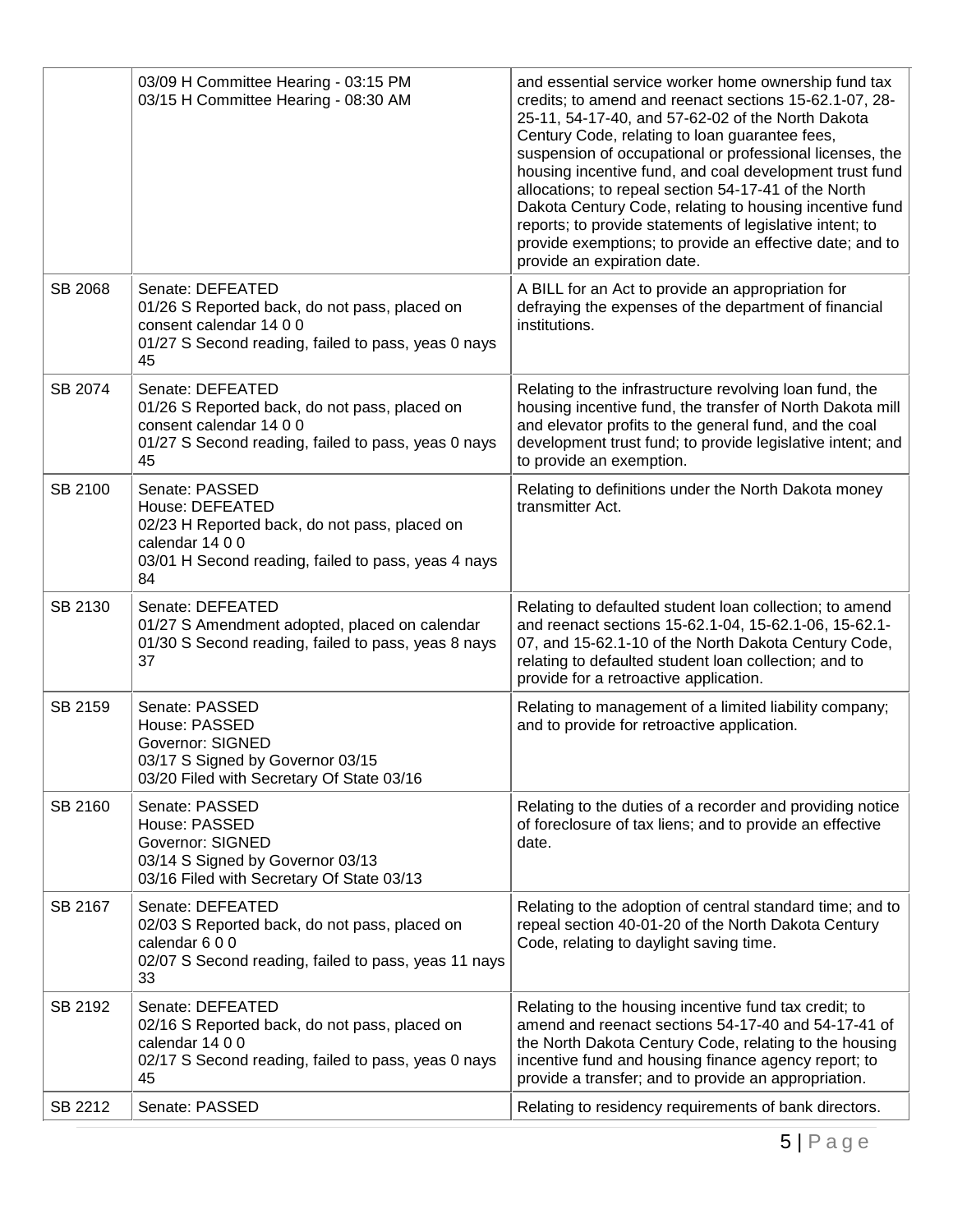|         | 03/09 H Committee Hearing - 03:15 PM<br>03/15 H Committee Hearing - 08:30 AM                                                                                       | and essential service worker home ownership fund tax<br>credits; to amend and reenact sections 15-62.1-07, 28-<br>25-11, 54-17-40, and 57-62-02 of the North Dakota<br>Century Code, relating to loan guarantee fees,<br>suspension of occupational or professional licenses, the<br>housing incentive fund, and coal development trust fund<br>allocations; to repeal section 54-17-41 of the North<br>Dakota Century Code, relating to housing incentive fund<br>reports; to provide statements of legislative intent; to<br>provide exemptions; to provide an effective date; and to<br>provide an expiration date. |
|---------|--------------------------------------------------------------------------------------------------------------------------------------------------------------------|------------------------------------------------------------------------------------------------------------------------------------------------------------------------------------------------------------------------------------------------------------------------------------------------------------------------------------------------------------------------------------------------------------------------------------------------------------------------------------------------------------------------------------------------------------------------------------------------------------------------|
| SB 2068 | Senate: DEFEATED<br>01/26 S Reported back, do not pass, placed on<br>consent calendar 14 0 0<br>01/27 S Second reading, failed to pass, yeas 0 nays<br>45          | A BILL for an Act to provide an appropriation for<br>defraying the expenses of the department of financial<br>institutions.                                                                                                                                                                                                                                                                                                                                                                                                                                                                                            |
| SB 2074 | Senate: DEFEATED<br>01/26 S Reported back, do not pass, placed on<br>consent calendar 14 0 0<br>01/27 S Second reading, failed to pass, yeas 0 nays<br>45          | Relating to the infrastructure revolving loan fund, the<br>housing incentive fund, the transfer of North Dakota mill<br>and elevator profits to the general fund, and the coal<br>development trust fund; to provide legislative intent; and<br>to provide an exemption.                                                                                                                                                                                                                                                                                                                                               |
| SB 2100 | Senate: PASSED<br>House: DEFEATED<br>02/23 H Reported back, do not pass, placed on<br>calendar 14 0 0<br>03/01 H Second reading, failed to pass, yeas 4 nays<br>84 | Relating to definitions under the North Dakota money<br>transmitter Act.                                                                                                                                                                                                                                                                                                                                                                                                                                                                                                                                               |
| SB 2130 | Senate: DEFEATED<br>01/27 S Amendment adopted, placed on calendar<br>01/30 S Second reading, failed to pass, yeas 8 nays<br>37                                     | Relating to defaulted student loan collection; to amend<br>and reenact sections 15-62.1-04, 15-62.1-06, 15-62.1-<br>07, and 15-62.1-10 of the North Dakota Century Code,<br>relating to defaulted student loan collection; and to<br>provide for a retroactive application.                                                                                                                                                                                                                                                                                                                                            |
| SB 2159 | Senate: PASSED<br>House: PASSED<br>Governor: SIGNED<br>03/17 S Signed by Governor 03/15<br>03/20 Filed with Secretary Of State 03/16                               | Relating to management of a limited liability company;<br>and to provide for retroactive application.                                                                                                                                                                                                                                                                                                                                                                                                                                                                                                                  |
| SB 2160 | Senate: PASSED<br>House: PASSED<br><b>Governor: SIGNED</b><br>03/14 S Signed by Governor 03/13<br>03/16 Filed with Secretary Of State 03/13                        | Relating to the duties of a recorder and providing notice<br>of foreclosure of tax liens; and to provide an effective<br>date.                                                                                                                                                                                                                                                                                                                                                                                                                                                                                         |
| SB 2167 | Senate: DEFEATED<br>02/03 S Reported back, do not pass, placed on<br>calendar 600<br>02/07 S Second reading, failed to pass, yeas 11 nays<br>33                    | Relating to the adoption of central standard time; and to<br>repeal section 40-01-20 of the North Dakota Century<br>Code, relating to daylight saving time.                                                                                                                                                                                                                                                                                                                                                                                                                                                            |
| SB 2192 | Senate: DEFEATED<br>02/16 S Reported back, do not pass, placed on<br>calendar 14 0 0<br>02/17 S Second reading, failed to pass, yeas 0 nays<br>45                  | Relating to the housing incentive fund tax credit; to<br>amend and reenact sections 54-17-40 and 54-17-41 of<br>the North Dakota Century Code, relating to the housing<br>incentive fund and housing finance agency report; to<br>provide a transfer; and to provide an appropriation.                                                                                                                                                                                                                                                                                                                                 |
| SB 2212 | Senate: PASSED                                                                                                                                                     | Relating to residency requirements of bank directors.                                                                                                                                                                                                                                                                                                                                                                                                                                                                                                                                                                  |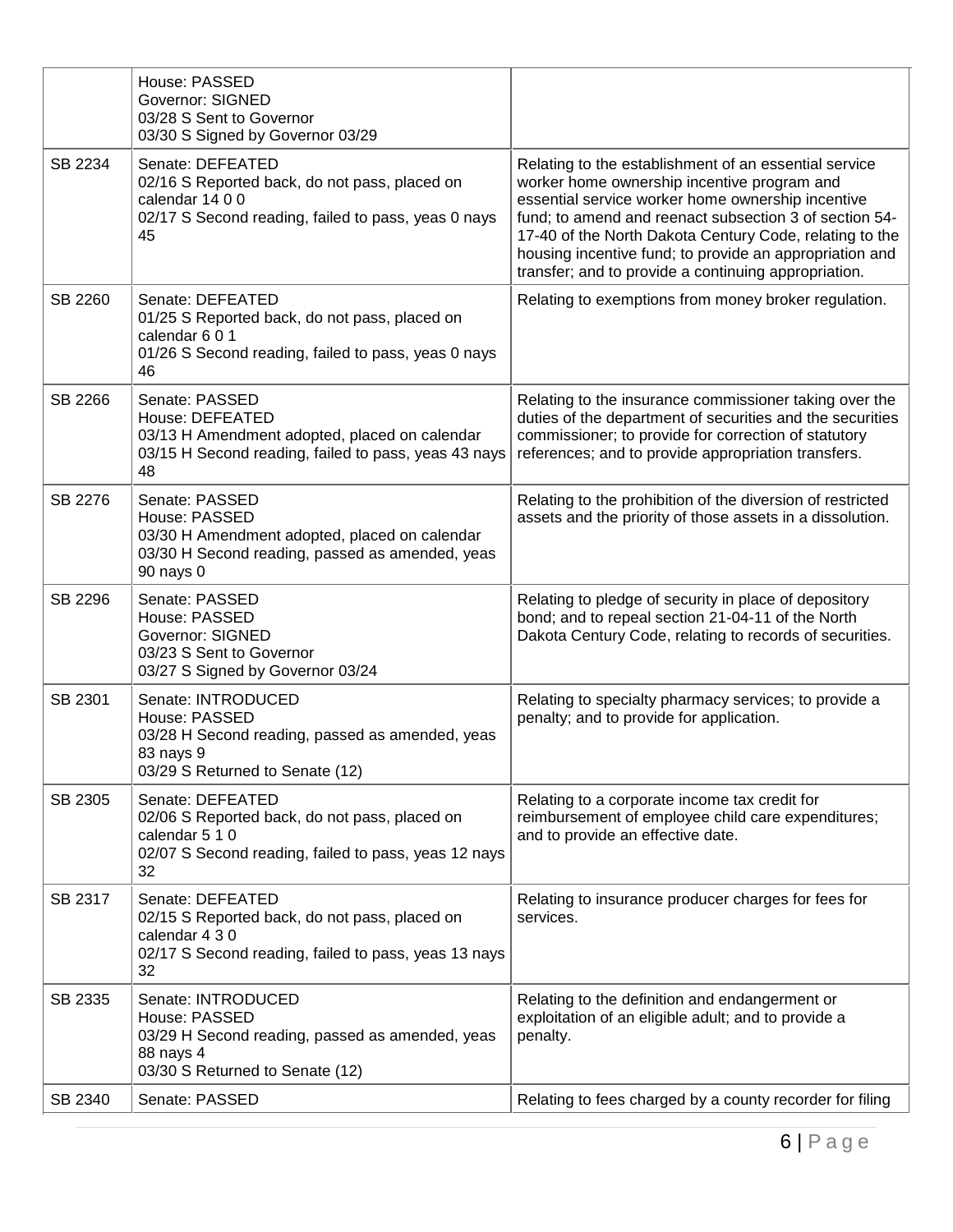|         | House: PASSED<br><b>Governor: SIGNED</b><br>03/28 S Sent to Governor<br>03/30 S Signed by Governor 03/29                                          |                                                                                                                                                                                                                                                                                                                                                                                                   |
|---------|---------------------------------------------------------------------------------------------------------------------------------------------------|---------------------------------------------------------------------------------------------------------------------------------------------------------------------------------------------------------------------------------------------------------------------------------------------------------------------------------------------------------------------------------------------------|
| SB 2234 | Senate: DEFEATED<br>02/16 S Reported back, do not pass, placed on<br>calendar 14 0 0<br>02/17 S Second reading, failed to pass, yeas 0 nays<br>45 | Relating to the establishment of an essential service<br>worker home ownership incentive program and<br>essential service worker home ownership incentive<br>fund; to amend and reenact subsection 3 of section 54-<br>17-40 of the North Dakota Century Code, relating to the<br>housing incentive fund; to provide an appropriation and<br>transfer; and to provide a continuing appropriation. |
| SB 2260 | Senate: DEFEATED<br>01/25 S Reported back, do not pass, placed on<br>calendar 6 0 1<br>01/26 S Second reading, failed to pass, yeas 0 nays<br>46  | Relating to exemptions from money broker regulation.                                                                                                                                                                                                                                                                                                                                              |
| SB 2266 | Senate: PASSED<br>House: DEFEATED<br>03/13 H Amendment adopted, placed on calendar<br>03/15 H Second reading, failed to pass, yeas 43 nays<br>48  | Relating to the insurance commissioner taking over the<br>duties of the department of securities and the securities<br>commissioner; to provide for correction of statutory<br>references; and to provide appropriation transfers.                                                                                                                                                                |
| SB 2276 | Senate: PASSED<br>House: PASSED<br>03/30 H Amendment adopted, placed on calendar<br>03/30 H Second reading, passed as amended, yeas<br>90 nays 0  | Relating to the prohibition of the diversion of restricted<br>assets and the priority of those assets in a dissolution.                                                                                                                                                                                                                                                                           |
| SB 2296 | Senate: PASSED<br>House: PASSED<br><b>Governor: SIGNED</b><br>03/23 S Sent to Governor<br>03/27 S Signed by Governor 03/24                        | Relating to pledge of security in place of depository<br>bond; and to repeal section 21-04-11 of the North<br>Dakota Century Code, relating to records of securities.                                                                                                                                                                                                                             |
| SB 2301 | Senate: INTRODUCED<br>House: PASSED<br>03/28 H Second reading, passed as amended, yeas<br>83 nays 9<br>03/29 S Returned to Senate (12)            | Relating to specialty pharmacy services; to provide a<br>penalty; and to provide for application.                                                                                                                                                                                                                                                                                                 |
| SB 2305 | Senate: DEFEATED<br>02/06 S Reported back, do not pass, placed on<br>calendar 5 1 0<br>02/07 S Second reading, failed to pass, yeas 12 nays<br>32 | Relating to a corporate income tax credit for<br>reimbursement of employee child care expenditures;<br>and to provide an effective date.                                                                                                                                                                                                                                                          |
| SB 2317 | Senate: DEFEATED<br>02/15 S Reported back, do not pass, placed on<br>calendar 4 3 0<br>02/17 S Second reading, failed to pass, yeas 13 nays<br>32 | Relating to insurance producer charges for fees for<br>services.                                                                                                                                                                                                                                                                                                                                  |
| SB 2335 | Senate: INTRODUCED<br>House: PASSED<br>03/29 H Second reading, passed as amended, yeas<br>88 nays 4<br>03/30 S Returned to Senate (12)            | Relating to the definition and endangerment or<br>exploitation of an eligible adult; and to provide a<br>penalty.                                                                                                                                                                                                                                                                                 |
| SB 2340 | Senate: PASSED                                                                                                                                    | Relating to fees charged by a county recorder for filing                                                                                                                                                                                                                                                                                                                                          |